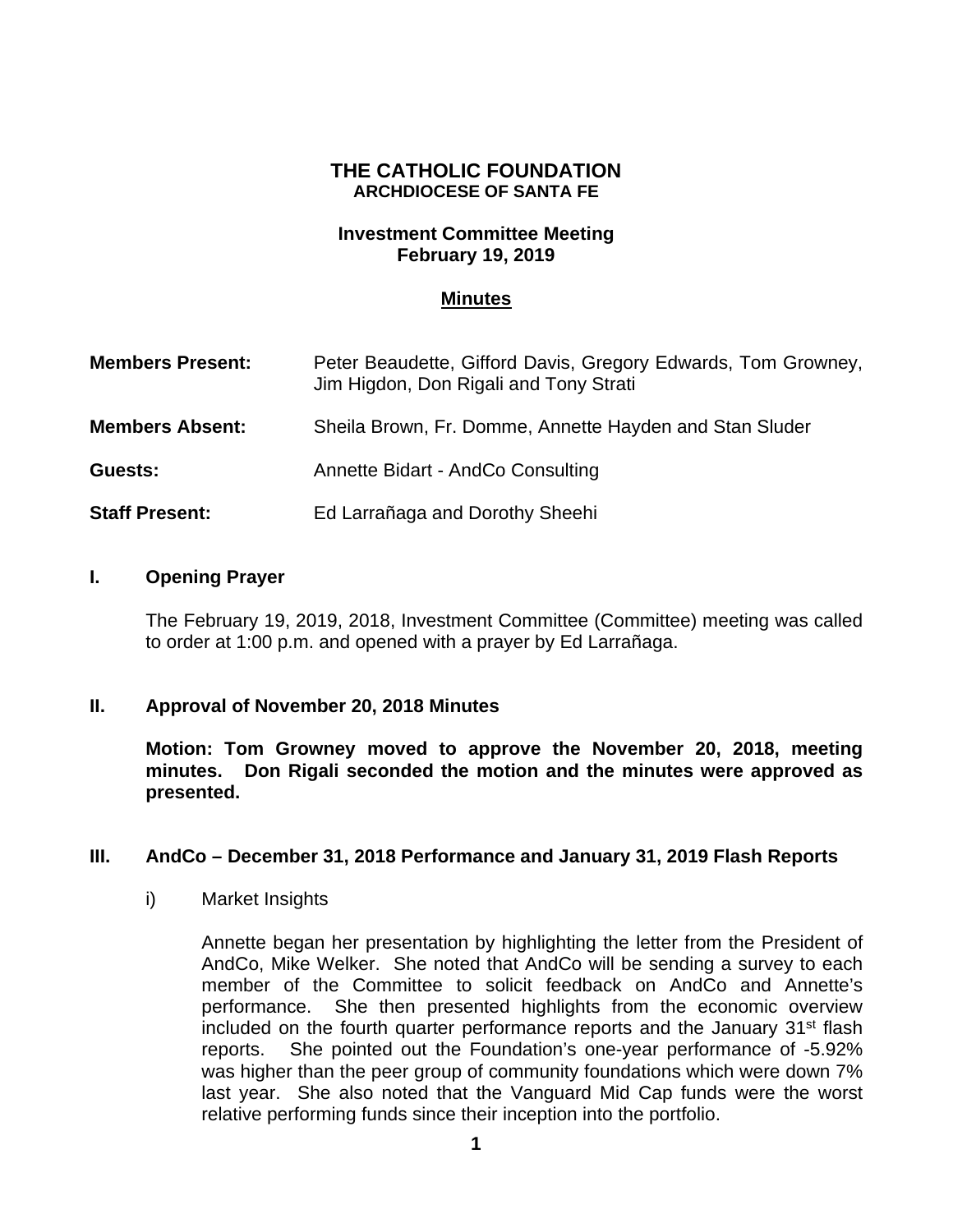# **THE CATHOLIC FOUNDATION ARCHDIOCESE OF SANTA FE**

## **Investment Committee Meeting February 19, 2019**

## **Minutes**

| <b>Members Present:</b> | Peter Beaudette, Gifford Davis, Gregory Edwards, Tom Growney,<br>Jim Higdon, Don Rigali and Tony Strati |
|-------------------------|---------------------------------------------------------------------------------------------------------|
| <b>Members Absent:</b>  | Sheila Brown, Fr. Domme, Annette Hayden and Stan Sluder                                                 |
| Guests:                 | Annette Bidart - AndCo Consulting                                                                       |
| <b>Staff Present:</b>   | Ed Larrañaga and Dorothy Sheehi                                                                         |

### **I. Opening Prayer**

The February 19, 2019, 2018, Investment Committee (Committee) meeting was called to order at 1:00 p.m. and opened with a prayer by Ed Larrañaga.

### **II. Approval of November 20, 2018 Minutes**

**Motion: Tom Growney moved to approve the November 20, 2018, meeting minutes. Don Rigali seconded the motion and the minutes were approved as presented.**

### **III. AndCo – December 31, 2018 Performance and January 31, 2019 Flash Reports**

i) Market Insights

Annette began her presentation by highlighting the letter from the President of AndCo, Mike Welker. She noted that AndCo will be sending a survey to each member of the Committee to solicit feedback on AndCo and Annette's performance. She then presented highlights from the economic overview included on the fourth quarter performance reports and the January 31<sup>st</sup> flash reports. She pointed out the Foundation's one-year performance of -5.92% was higher than the peer group of community foundations which were down 7% last year. She also noted that the Vanguard Mid Cap funds were the worst relative performing funds since their inception into the portfolio.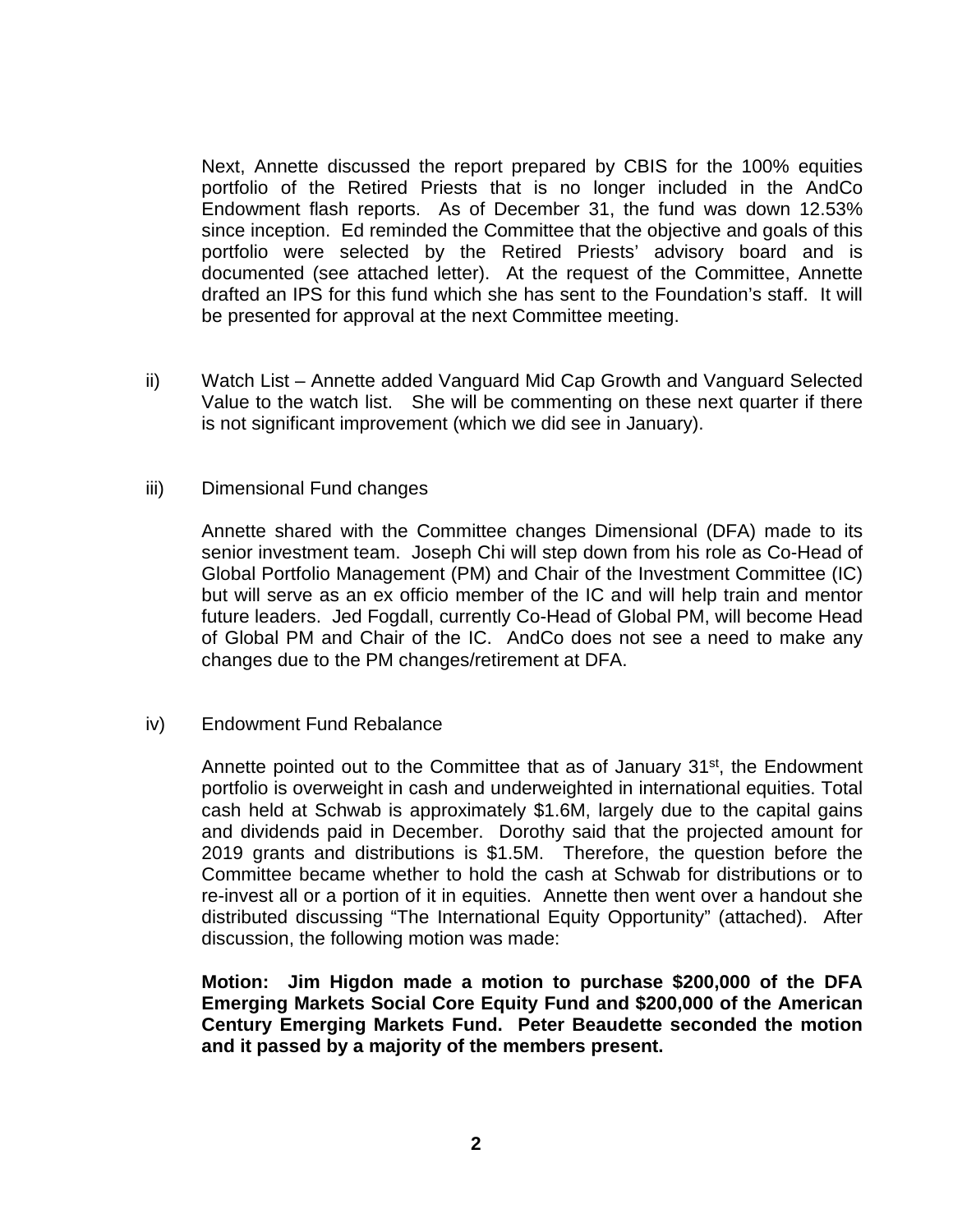Next, Annette discussed the report prepared by CBIS for the 100% equities portfolio of the Retired Priests that is no longer included in the AndCo Endowment flash reports. As of December 31, the fund was down 12.53% since inception. Ed reminded the Committee that the objective and goals of this portfolio were selected by the Retired Priests' advisory board and is documented (see attached letter). At the request of the Committee, Annette drafted an IPS for this fund which she has sent to the Foundation's staff. It will be presented for approval at the next Committee meeting.

ii) Watch List – Annette added Vanguard Mid Cap Growth and Vanguard Selected Value to the watch list. She will be commenting on these next quarter if there is not significant improvement (which we did see in January).

## iii) Dimensional Fund changes

Annette shared with the Committee changes Dimensional (DFA) made to its senior investment team. Joseph Chi will step down from his role as Co-Head of Global Portfolio Management (PM) and Chair of the Investment Committee (IC) but will serve as an ex officio member of the IC and will help train and mentor future leaders. Jed Fogdall, currently Co-Head of Global PM, will become Head of Global PM and Chair of the IC. AndCo does not see a need to make any changes due to the PM changes/retirement at DFA.

# iv) Endowment Fund Rebalance

Annette pointed out to the Committee that as of January  $31<sup>st</sup>$ , the Endowment portfolio is overweight in cash and underweighted in international equities. Total cash held at Schwab is approximately \$1.6M, largely due to the capital gains and dividends paid in December. Dorothy said that the projected amount for 2019 grants and distributions is \$1.5M. Therefore, the question before the Committee became whether to hold the cash at Schwab for distributions or to re-invest all or a portion of it in equities. Annette then went over a handout she distributed discussing "The International Equity Opportunity" (attached). After discussion, the following motion was made:

**Motion: Jim Higdon made a motion to purchase \$200,000 of the DFA Emerging Markets Social Core Equity Fund and \$200,000 of the American Century Emerging Markets Fund. Peter Beaudette seconded the motion and it passed by a majority of the members present.**